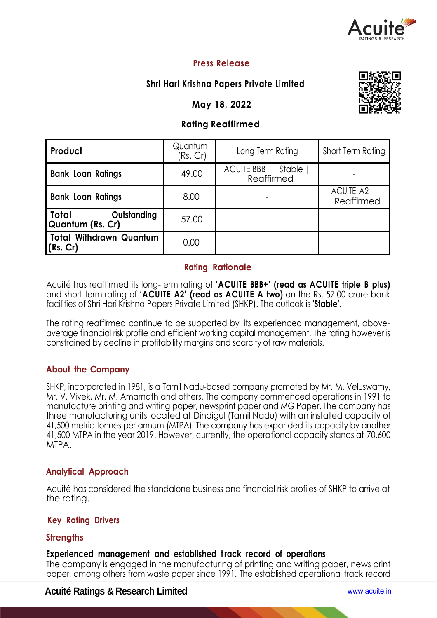

## **Press Release**

## **Shri Hari Krishna Papers Private Limited**

**May 18, 2022**

### **Rating Reaffirmed**

| Product                                         | Quantum<br>(Rs. Cr) | Long Term Rating                     | Short Term Rating         |  |
|-------------------------------------------------|---------------------|--------------------------------------|---------------------------|--|
| <b>Bank Loan Ratings</b>                        | 49.00               | ACUITE BBB+   Stable  <br>Reaffirmed |                           |  |
| <b>Bank Loan Ratings</b>                        | 8.00                |                                      | ACUITE A2  <br>Reaffirmed |  |
| Total<br>Outstanding<br><b>Quantum (Rs. Cr)</b> | 57.00               |                                      |                           |  |
| <b>Total Withdrawn Quantum</b><br>(Rs. Cr)      | 0.00                |                                      |                           |  |

### **Rating Rationale**

Acuité has reaffirmed its long-term rating of **'ACUITE BBB+' (read as ACUITE triple B plus)**  and short-term rating of **'ACUITE A2' (read as ACUITE A two)** on the Rs. 57.00 crore bank facilities of Shri Hari Krishna Papers Private Limited (SHKP). The outlook is **'Stable'**.

The rating reaffirmed continue to be supported by its experienced management, aboveaverage financial risk profile and efficient working capital management. The rating however is constrained by decline in profitability margins and scarcity of raw materials.

### **About the Company**

SHKP, incorporated in 1981, is a Tamil Nadu-based company promoted by Mr. M. Veluswamy, Mr. V. Vivek, Mr. M. Amarnath and others. The company commenced operations in 1991 to manufacture printing and writing paper, newsprint paper and MG Paper. The company has three manufacturing units located at Dindigul (Tamil Nadu) with an installed capacity of 41,500 metric tonnes per annum (MTPA). The company has expanded its capacity by another 41,500 MTPA in the year 2019. However, currently, the operational capacity stands at 70,600 MTPA.

### **Analytical Approach**

Acuité has considered the standalone business and financial risk profiles of SHKP to arrive at the rating.

### **Key Rating Drivers**

## **Strengths**

### **Experienced management and established track record of operations**

The company is engaged in the manufacturing of printing and writing paper, news print paper, among others from waste paper since 1991. The established operational track record

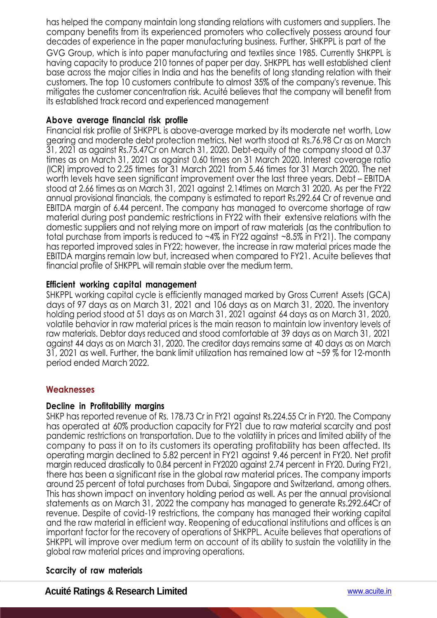has helped the company maintain long standing relations with customers and suppliers. The company benefits from its experienced promoters who collectively possess around four decades of experience in the paper manufacturing business. Further, SHKPPL is part of the GVG Group, which is into paper manufacturing and textiles since 1985. Currently SHKPPL is having capacity to produce 210 tonnes of paper per day. SHKPPL has welll established client base across the major cities in India and has the benefits of long standing relation with their customers. The top 10 customers contribute to almost 35% of the company's revenue. This mitigates the customer concentration risk. Acuité believes that the company will benefit from its established track record and experienced management

### **Above average financial risk profile**

Financial risk profile of SHKPPL is above-average marked by its moderate net worth, Low gearing and moderate debt protection metrics. Net worth stood at Rs.76.98 Cr as on March 31, 2021 as against Rs.75.47Cr on March 31, 2020. Debt-equity of the company stood at 0.37 times as on March 31, 2021 as against 0.60 times on 31 March 2020. Interest coverage ratio (ICR) improved to 2.25 times for 31 March 2021 from 5.46 times for 31 March 2020. The net worth levels have seen significant improvement over the last three years. Debt – EBITDA stood at 2.66 times as on March 31, 2021 against 2.14times on March 31 2020. As per the FY22 annual provisional financials, the company is estimated to report Rs.292.64 Cr of revenue and EBITDA margin of 6.44 percent. The company has managed to overcome shortage of raw material during post pandemic restrictions in FY22 with their extensive relations with the domestic suppliers and not relying more on import of raw materials (as the contribution to total purchase from imports is reduced to  $~4\%$  in FY22 against  $~8.5\%$  in FY21). The company has reported improved sales in FY22; however, the increase in raw material prices made the EBITDA margins remain low but, increased when compared to FY21. Acuite believes that financial profile of SHKPPL will remain stable over the medium term.

## **Efficient working capital management**

SHKPPL working capital cycle is efficiently managed marked by Gross Current Assets (GCA) days of 97 days as on March 31, 2021 and 106 days as on March 31, 2020. The inventory holding period stood at 51 days as on March 31, 2021 against 64 days as on March 31, 2020, volatile behavior in raw material prices is the main reason to maintain low inventory levels of raw materials. Debtor days reduced and stood comfortable at 39 days as on March 31, 2021 against 44 days as on March 31, 2020. The creditor days remains same at 40 days as on March 31, 2021 as well. Further, the bank limit utilization has remained low at ~59 % for 12-month period ended March 2022.

## **Weaknesses**

### **Decline in Profitability margins**

SHKP has reported revenue of Rs. 178.73 Cr in FY21 against Rs.224.55 Cr in FY20. The Company has operated at 60% production capacity for FY21 due to raw material scarcity and post pandemic restrictions on transportation. Due to the volatility in prices and limited ability of the company to pass it on to its customers its operating profitability has been affected. Its operating margin declined to 5.82 percent in FY21 against 9.46 percent in FY20. Net profit margin reduced drastically to 0.84 percent in FY2020 against 2.74 percent in FY20. During FY21, there has been a significant rise in the global raw material prices. The company imports around 25 percent of total purchases from Dubai, Singapore and Switzerland, among others. This has shown impact on inventory holding period as well. As per the annual provisional statements as on March 31, 2022 the company has managed to generate Rs.292.64Cr of revenue. Despite of covid-19 restrictions, the company has managed their working capital and the raw material in efficient way. Reopening of educational institutions and offices is an important factor for the recovery of operations of SHKPPL. Acuite believes that operations of SHKPPL will improve over medium term on account of its ability to sustain the volatility in the global raw material prices and improving operations.

## **Scarcity of raw materials**

**Acuité Ratings & Research Limited** www.acuite.in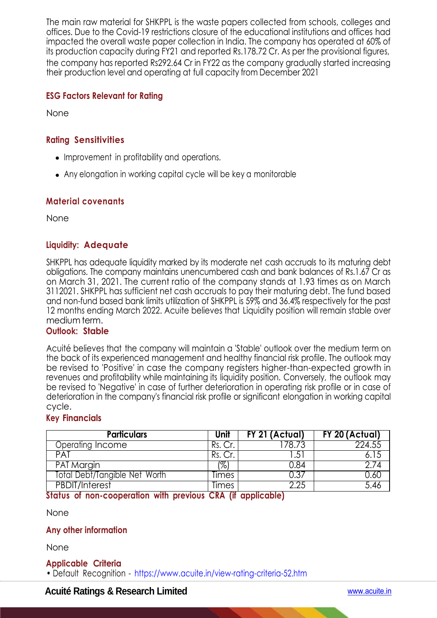The main raw material for SHKPPL is the waste papers collected from schools, colleges and offices. Due to the Covid-19 restrictions closure of the educational institutions and offices had impacted the overall waste paper collection in India. The company has operated at 60% of its production capacity during FY21 and reported Rs.178.72 Cr. As per the provisional figures, the company has reported Rs292.64 Cr in FY22 as the company gradually started increasing their production level and operating at full capacity from December 2021

### **ESG Factors Relevant for Rating**

None

## **Rating Sensitivities**

- Improvement in profitability and operations.
- Any elongation in working capital cycle will be key a monitorable

### **Material covenants**

None

## **Liquidity: Adequate**

SHKPPL has adequate liquidity marked by its moderate net cash accruals to its maturing debt obligations. The company maintains unencumbered cash and bank balances of Rs.1.67 Cr as on March 31, 2021. The current ratio of the company stands at 1.93 times as on March 3112021. SHKPPL has sufficient net cash accruals to pay their maturing debt. The fund based and non-fund based bank limits utilization of SHKPPL is 59% and 36.4% respectively for the past 12 months ending March 2022. Acuite believes that Liquidity position will remain stable over medium term.

#### **Outlook: Stable**

Acuité believes that the company will maintain a 'Stable' outlook over the medium term on the back of its experienced management and healthy financial risk profile. The outlook may be revised to 'Positive' in case the company registers higher-than-expected growth in revenues and profitability while maintaining its liquidity position. Conversely, the outlook may be revised to 'Negative' in case of further deterioration in operating risk profile or in case of deterioration in the company's financial risk profile or significant elongation in working capital cycle.

### **Key Financials**

| <b>Particulars</b>            | Unit  | FY 21 (Actual) | FY 20 (Actual) |
|-------------------------------|-------|----------------|----------------|
| Operating Income              |       | 78 ZS          | 224.55         |
| PAT                           |       | .5             |                |
| <b>PAT Margin</b>             | %     | ).୪4           |                |
| Total Debt/Tangible Net Worth | Times |                |                |
| <b>PBDIT/Interest</b>         | limes | つつら            |                |

### **Status of non-cooperation with previous CRA (if applicable)**

None

### **Any other information**

None

### **Applicable Criteria**

• Default Recognition - https://www.acuite.in/view-rating-criteria-52.htm

## **Acuité Ratings & Research Limited** www.acuite.in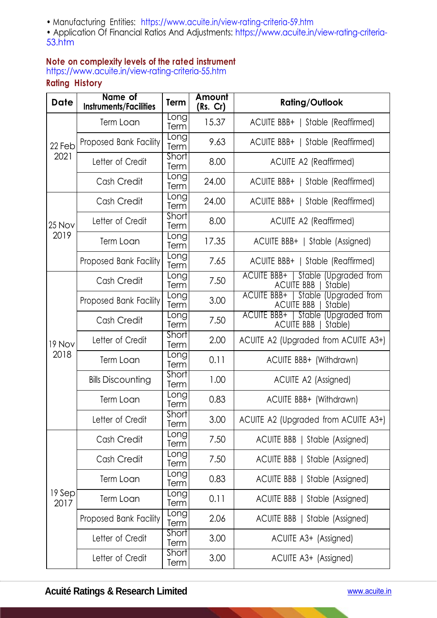• Manufacturing Entities: https://www.acuite.in/view-rating-criteria-59.htm

• Application Of Financial Ratios And Adjustments: https://www.acuite.in/view-rating-criteria-53.htm

# **Note on complexity levels of the rated instrument**

https://www.acuite.in/view-rating-criteria-55.htm

# **Rating History**

| <b>Date</b>    | Name of<br><b>Instruments/Facilities</b> | Term                 | Amount<br>(Rs. Cr) | <b>Rating/Outlook</b>                                               |
|----------------|------------------------------------------|----------------------|--------------------|---------------------------------------------------------------------|
| 22 Feb<br>2021 | Term Loan                                | <b>Long</b><br>Term  | 15.37              | ACUITE BBB+   Stable (Reaffirmed)                                   |
|                | Proposed Bank Facility                   | Eong<br>Term         | 9.63               | ACUITE BBB+   Stable (Reaffirmed)                                   |
|                | Letter of Credit                         | Short<br>Term        | 8.00               | <b>ACUITE A2 (Reaffirmed)</b>                                       |
|                | Cash Credit                              | Long<br>Term         | 24.00              | ACUITE BBB+   Stable (Reaffirmed)                                   |
| 25 Nov<br>2019 | Cash Credit                              | Long<br>Term         | 24.00              | ACUITE BBB+   Stable (Reaffirmed)                                   |
|                | Letter of Credit                         | <b>Short</b><br>Term | 8.00               | <b>ACUITE A2 (Reaffirmed)</b>                                       |
|                | Term Loan                                | Long<br>Term         | 17.35              | ACUITE BBB+   Stable (Assigned)                                     |
|                | Proposed Bank Facility                   | Long<br>Term         | 7.65               | ACUITE BBB+   Stable (Reaffirmed)                                   |
| 19 Nov<br>2018 | Cash Credit                              | <b>Long</b><br>Term  | 7.50               | ACUITE BBB+   Stable (Upgraded from<br><b>ACUITE BBB</b><br>Stable) |
|                | Proposed Bank Facility                   | Long<br>Term         | 3.00               | ACUITE BBB+   Stable (Upgraded from<br><b>ACUITE BBB</b><br>Stable) |
|                | Cash Credit                              | Long<br>Term         | 7.50               | ACUITE BBB+   Stable (Upgraded from<br><b>ACUITE BBB</b><br>Stable) |
|                | Letter of Credit                         | <b>Short</b><br>Term | 2.00               | ACUITE A2 (Upgraded from ACUITE A3+)                                |
|                | Term Loan                                | .<br>Long<br>Term    | 0.11               | ACUITE BBB+ (Withdrawn)                                             |
|                | <b>Bills Discounting</b>                 | <b>Short</b><br>Term | 1.00               | ACUITE A2 (Assigned)                                                |
|                | Term Loan                                | Long<br>Term         | 0.83               | ACUITE BBB+ (Withdrawn)                                             |
|                | Letter of Credit                         | <b>Short</b><br>Term | 3.00               | ACUITE A2 (Upgraded from ACUITE A3+)                                |
| 19 Sep<br>2017 | Cash Credit                              | <b>Long</b><br>Term  | 7.50               | ACUITE BBB   Stable (Assigned)                                      |
|                | Cash Credit                              | Long<br>Term         | 7.50               | ACUITE BBB   Stable (Assigned)                                      |
|                | Term Loan                                | <b>Long</b><br>Term  | 0.83               | ACUITE BBB   Stable (Assigned)                                      |
|                | Term Loan                                | Eong<br>Term         | 0.11               | ACUITE BBB   Stable (Assigned)                                      |
|                | Proposed Bank Facility                   | <b>Long</b><br>Term  | 2.06               | ACUITE BBB   Stable (Assigned)                                      |
|                | Letter of Credit                         | Short<br>Term        | 3.00               | ACUITE A3+ (Assigned)                                               |
|                | Letter of Credit                         | Short<br>Term        | 3.00               | ACUITE A3+ (Assigned)                                               |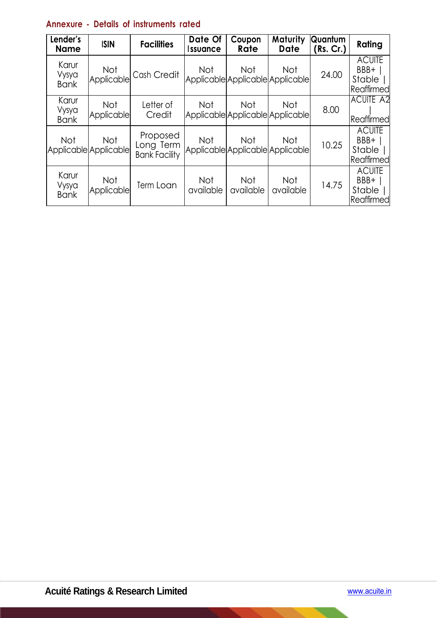| Lender's<br><b>Name</b>       | <b>ISIN</b>                         | <b>Facilities</b>                             | Date Of<br><i><b>Issuance</b></i> | Coupon<br>Rate                                 | Maturity<br><b>Date</b> | Quantum<br>(Rs. Cr.) | Rating                                        |
|-------------------------------|-------------------------------------|-----------------------------------------------|-----------------------------------|------------------------------------------------|-------------------------|----------------------|-----------------------------------------------|
| Karur<br>Vysya<br><b>Bank</b> | <b>Not</b><br>Applicable            | Cash Credit                                   | Not                               | <b>Not</b><br>Applicable Applicable Applicable | <b>Not</b>              | 24.00                | <b>ACUITE</b><br>BBB+<br>Stable<br>Reaffirmed |
| Karur<br>Vysya<br><b>Bank</b> | Not<br>Applicable                   | Letter of<br>Credit                           | Not                               | <b>Not</b><br>Applicable Applicable Applicable | <b>Not</b>              | 8.00                 | <b>ACUITE A2</b><br>Reaffirmed                |
| <b>Not</b>                    | <b>Not</b><br>Applicable Applicable | Proposed<br>Long Term<br><b>Bank Facility</b> | Not                               | <b>Not</b><br>Applicable Applicable Applicable | <b>Not</b>              | 10.25                | <b>ACUITE</b><br>BBB+<br>Stable<br>Reaffirmed |
| Karur<br>Vysya<br><b>Bank</b> | <b>Not</b><br>Applicable            | Term Loan                                     | <b>Not</b><br>available           | <b>Not</b><br>available                        | <b>Not</b><br>available | 14.75                | <b>ACUITE</b><br>BBB+<br>Stable<br>Reaffirmed |

# **Annexure - Details of instruments rated**

 $\overline{\phantom{0}}$